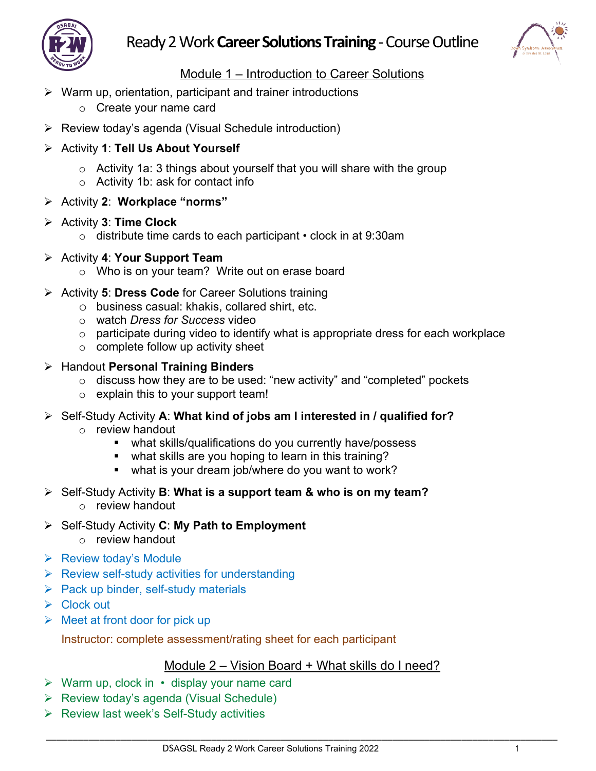



# Ready 2 Work**Career Solutions Training**-Course Outline

### Module 1 – Introduction to Career Solutions

- ➢ Warm up, orientation, participant and trainer introductions
	- o Create your name card
- ➢ Review today's agenda (Visual Schedule introduction)
- ➢ Activity **1**: **Tell Us About Yourself**
	- $\circ$  Activity 1a: 3 things about yourself that you will share with the group
	- o Activity 1b: ask for contact info
- ➢ Activity **2**: **Workplace "norms"**
- ➢ Activity **3**: **Time Clock**
	- o distribute time cards to each participant clock in at 9:30am
- ➢ Activity **4**: **Your Support Team**
	- o Who is on your team? Write out on erase board
- ➢ Activity **5**: **Dress Code** for Career Solutions training
	- o business casual: khakis, collared shirt, etc.
	- o watch *Dress for Success* video
	- $\circ$  participate during video to identify what is appropriate dress for each workplace
	- $\circ$  complete follow up activity sheet

#### ➢ Handout **Personal Training Binders**

- $\circ$  discuss how they are to be used: "new activity" and "completed" pockets
- $\circ$  explain this to your support team!
- ➢ Self-Study Activity **A**: **What kind of jobs am I interested in / qualified for?**
	- o review handout
		- what skills/qualifications do you currently have/possess
		- what skills are you hoping to learn in this training?
		- what is your dream job/where do you want to work?
- ➢ Self-Study Activity **B**: **What is a support team & who is on my team?** o review handout
- ➢ Self-Study Activity **C**: **My Path to Employment**
	- o review handout
- ➢ Review today's Module
- $\triangleright$  Review self-study activities for understanding
- $\triangleright$  Pack up binder, self-study materials
- ➢ Clock out
- $\triangleright$  Meet at front door for pick up

Instructor: complete assessment/rating sheet for each participant

## Module 2 – Vision Board + What skills do I need?

- ➢ Warm up, clock in display your name card
- ➢ Review today's agenda (Visual Schedule)
- ➢ Review last week's Self-Study activities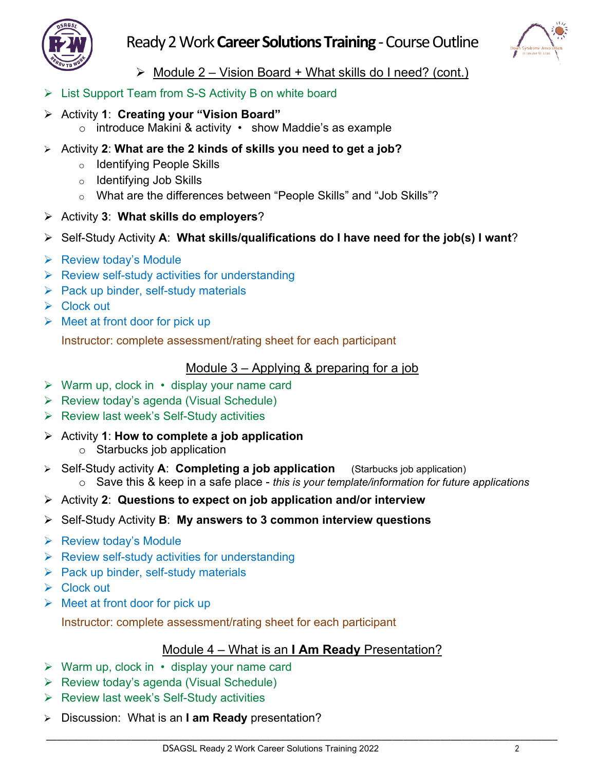

## Ready 2 Work**Career Solutions Training**-Course Outline



- $\triangleright$  Module 2 Vision Board + What skills do I need? (cont.)
- ➢ List Support Team from S-S Activity B on white board
- ➢ Activity **1**: **Creating your "Vision Board"**
	- o introduce Makini & activity show Maddie's as example
- ➢ Activity **2**: **What are the 2 kinds of skills you need to get a job?**
	- o Identifying People Skills
	- o Identifying Job Skills
	- o What are the differences between "People Skills" and "Job Skills"?
- ➢ Activity **3**: **What skills do employers**?
- ➢ Self-Study Activity **A**: **What skills/qualifications do I have need for the job(s) I want**?
- ➢ Review today's Module
- $\triangleright$  Review self-study activities for understanding
- $\triangleright$  Pack up binder, self-study materials
- ➢ Clock out
- $\triangleright$  Meet at front door for pick up

Instructor: complete assessment/rating sheet for each participant

### Module 3 – Applying & preparing for a job

- ➢ Warm up, clock in display your name card
- ➢ Review today's agenda (Visual Schedule)
- ➢ Review last week's Self-Study activities
- ➢ Activity **1**: **How to complete a job application**  o Starbucks job application
- ➢ Self-Study activity **A**: **Completing a job application** (Starbucks job application) o Save this & keep in a safe place - *this is your template/information for future applications*
- ➢ Activity **2**: **Questions to expect on job application and/or interview**
- ➢ Self-Study Activity **B**: **My answers to 3 common interview questions**
- ➢ Review today's Module
- ➢ Review self-study activities for understanding
- $\triangleright$  Pack up binder, self-study materials
- ➢ Clock out
- $\triangleright$  Meet at front door for pick up

Instructor: complete assessment/rating sheet for each participant

## Module 4 – What is an **I Am Ready** Presentation?

- $\triangleright$  Warm up, clock in  $\cdot$  display your name card
- ➢ Review today's agenda (Visual Schedule)
- ➢ Review last week's Self-Study activities
- ➢ Discussion: What is an **I am Ready** presentation?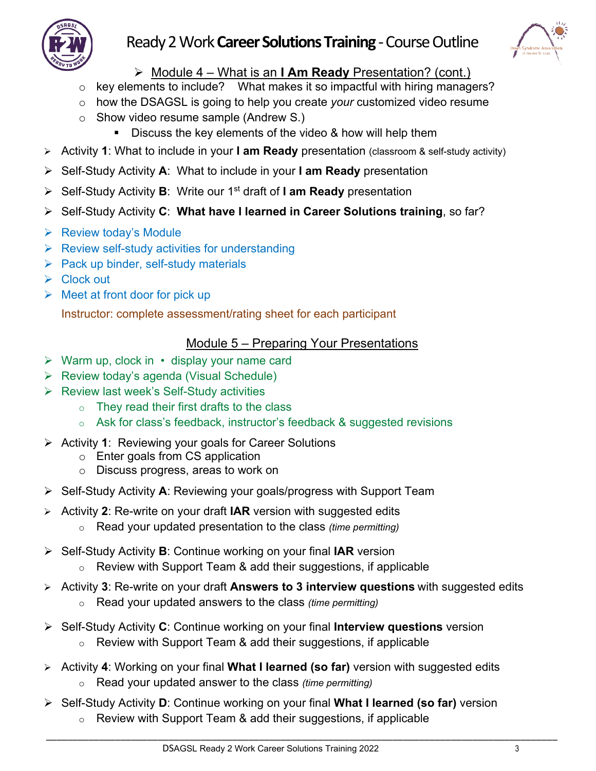

# Ready 2 Work**Career Solutions Training**-Course Outline



➢ Module 4 – What is an **I Am Ready** Presentation? (cont.)

- o key elements to include?What makes it so impactful with hiring managers?
- o how the DSAGSL is going to help you create *your* customized video resume
- o Show video resume sample (Andrew S.)
	- **E** Discuss the key elements of the video & how will help them
- ➢ Activity **1**: What to include in your **I am Ready** presentation (classroom & self-study activity)
- ➢ Self-Study Activity **A**: What to include in your **I am Ready** presentation
- ➢ Self-Study Activity **B**: Write our 1st draft of **I am Ready** presentation
- ➢ Self-Study Activity **C**: **What have I learned in Career Solutions training**, so far?
- ➢ Review today's Module
- $\triangleright$  Review self-study activities for understanding
- $\triangleright$  Pack up binder, self-study materials
- ➢ Clock out
- $\triangleright$  Meet at front door for pick up

Instructor: complete assessment/rating sheet for each participant

## Module 5 – Preparing Your Presentations

- $\triangleright$  Warm up, clock in  $\cdot$  display your name card
- ➢ Review today's agenda (Visual Schedule)
- ➢ Review last week's Self-Study activities
	- $\circ$  They read their first drafts to the class
	- o Ask for class's feedback, instructor's feedback & suggested revisions
- ➢ Activity **1**: Reviewing your goals for Career Solutions
	- o Enter goals from CS application
	- o Discuss progress, areas to work on
- ➢ Self-Study Activity **A**: Reviewing your goals/progress with Support Team
- ➢ Activity **2**: Re-write on your draft **IAR** version with suggested edits
	- o Read your updated presentation to the class *(time permitting)*
- ➢ Self-Study Activity **B**: Continue working on your final **IAR** version
	- $\circ$  Review with Support Team & add their suggestions, if applicable
- ➢ Activity **3**: Re-write on your draft **Answers to 3 interview questions** with suggested edits
	- o Read your updated answers to the class *(time permitting)*
- ➢ Self-Study Activity **C**: Continue working on your final **Interview questions** version
	- $\circ$  Review with Support Team & add their suggestions, if applicable
- ➢ Activity **4**: Working on your final **What I learned (so far)** version with suggested edits o Read your updated answer to the class *(time permitting)*
- ➢ Self-Study Activity **D**: Continue working on your final **What I learned (so far)** version  $\circ$  Review with Support Team & add their suggestions, if applicable
- \_\_\_\_\_\_\_\_\_\_\_\_\_\_\_\_\_\_\_\_\_\_\_\_\_\_\_\_\_\_\_\_\_\_\_\_\_\_\_\_\_\_\_\_\_\_\_\_\_\_\_\_\_\_\_\_\_\_\_\_\_\_\_\_\_\_\_\_\_\_\_\_\_\_\_\_\_\_\_\_\_\_\_\_\_\_\_\_\_\_\_\_\_\_\_\_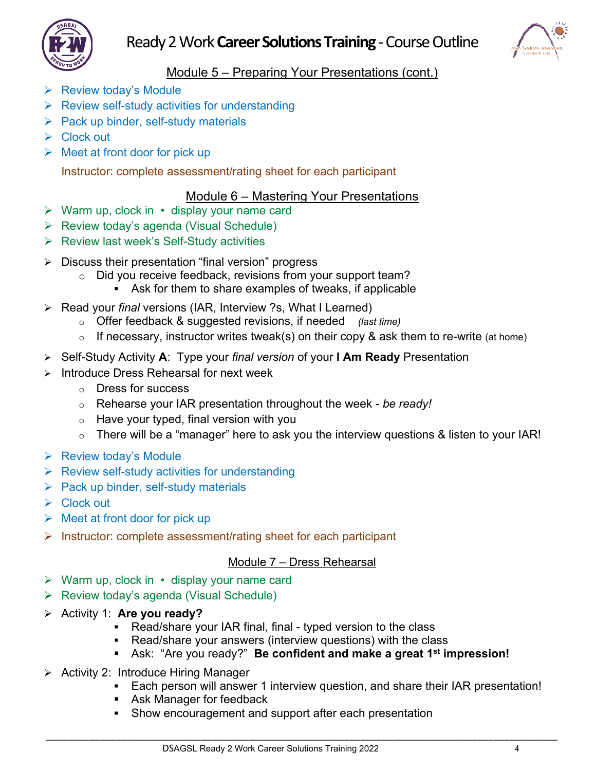



## Module 5 – Preparing Your Presentations (cont.)

- ➢ Review today's Module
- $\triangleright$  Review self-study activities for understanding
- $\triangleright$  Pack up binder, self-study materials
- ➢ Clock out
- $\triangleright$  Meet at front door for pick up

Instructor: complete assessment/rating sheet for each participant

## Module 6 – Mastering Your Presentations

- ➢ Warm up, clock in display your name card
- ➢ Review today's agenda (Visual Schedule)
- ➢ Review last week's Self-Study activities
- ➢ Discuss their presentation "final version" progress
	- $\circ$  Did you receive feedback, revisions from your support team?
		- Ask for them to share examples of tweaks, if applicable
- ➢ Read your *final* versions (IAR, Interview ?s, What I Learned)
	- o Offer feedback & suggested revisions, if needed *(last time)*
	- $\circ$  If necessary, instructor writes tweak(s) on their copy & ask them to re-write (at home)
- ➢ Self-Study Activity **A**: Type your *final version* of your **I Am Ready** Presentation
- ➢ Introduce Dress Rehearsal for next week
	- o Dress for success
	- o Rehearse your IAR presentation throughout the week *be ready!*
	- $\circ$  Have your typed, final version with you
	- $\circ$  There will be a "manager" here to ask you the interview questions & listen to your IAR!
- ➢ Review today's Module
- $\triangleright$  Review self-study activities for understanding
- $\triangleright$  Pack up binder, self-study materials
- ➢ Clock out
- $\triangleright$  Meet at front door for pick up
- ➢ Instructor: complete assessment/rating sheet for each participant

## Module 7 – Dress Rehearsal

- ➢ Warm up, clock in display your name card
- ➢ Review today's agenda (Visual Schedule)
- ➢ Activity 1: **Are you ready?**
	- Read/share your IAR final, final typed version to the class
	- Read/share your answers (interview questions) with the class
	- Ask: "Are you ready?" **Be confident and make a great 1 st impression!**

- ➢ Activity 2: Introduce Hiring Manager
	- Each person will answer 1 interview question, and share their IAR presentation!
	- Ask Manager for feedback
	- **Show encouragement and support after each presentation**